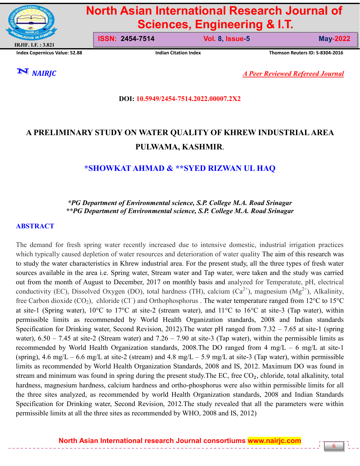

# **North Asian International Research Journal of Sciences, Engineering & I.T.**

**Index Copernicus Value: 52.88 Indian Citation Index Thomson Reuters ID: S-8304-2016**

**ISSN: 2454-7514 Vol. 8, Issue-5 May-2022**

6

*NAIRJC A Peer Reviewed Refereed Journal*

**DOI: 10.5949/2454-7514.2022.00007.2X2**

# **A PRELIMINARY STUDY ON WATER QUALITY OF KHREW INDUSTRIAL AREA PULWAMA, KASHMIR**.

# **\*SHOWKAT AHMAD & \*\*SYED RIZWAN UL HAQ**

#### *\*PG Department of Environmental science, S.P. College M.A. Road Srinagar \*\*PG Department of Environmental science, S.P. College M.A. Road Srinagar*

#### **ABSTRACT**

The demand for fresh spring water recently increased due to intensive domestic, industrial irrigation practices which typically caused depletion of water resources and deterioration of water quality The aim of this research was to study the water characteristics in Khrew industrial area. For the present study, all the three types of fresh water sources available in the area i.e. Spring water, Stream water and Tap water, were taken and the study was carried out from the month of August to December, 2017 on monthly basis and analyzed for Temperatute, pH, electrical conductivity (EC), Dissolved Oxygen (DO), total hardness (TH), calcium ( $Ca^{2+}$ ), magnesium (Mg<sup>2+</sup>), Alkalinity, free Carbon dioxide (CO<sub>2</sub>), chloride (Cl ) and Orthophosphorus . The water temperature ranged from 12°C to 15°C at site-1 (Spring water), 10°C to 17°C at site-2 (stream water), and 11°C to 16°C at site-3 (Tap water), within permissible limits as recommended by World Health Organization standards, 2008 and Indian standards Specification for Drinking water, Second Revision, 2012).The water pH ranged from 7.32 – 7.65 at site-1 (spring water),  $6.50 - 7.45$  at site-2 (Stream water) and  $7.26 - 7.90$  at site-3 (Tap water), within the permissible limits as recommended by World Health Organization standards, 2008.The DO ranged from 4 mg/L – 6 mg/L at site-1 (spring), 4.6 mg/L – 6.6 mg/L at site-2 (stream) and 4.8 mg/L – 5.9 mg/L at site-3 (Tap water), within permissible limits as recommended by World Health Organization Standards, 2008 and IS, 2012. Maximum DO was found in stream and minimum was found in spring during the present study. The EC, free  $CO<sub>2</sub>$ , chloride, total alkalinity, total hardness, magnesium hardness, calcium hardness and ortho-phosphorus were also within permissible limits for all the three sites analyzed, as recommended by world Health Organization standards, 2008 and Indian Standards Specification for Drinking water, Second Revision, 2012.The study revealed that all the parameters were within permissible limits at all the three sites as recommended by WHO, 2008 and IS, 2012)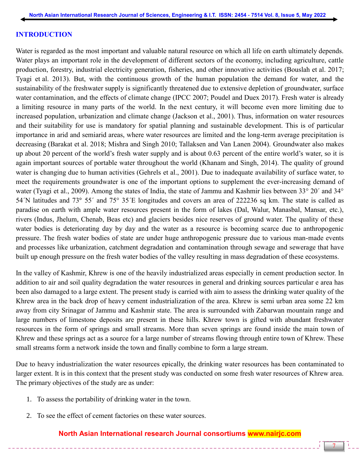#### **INTRODUCTION**

Water is regarded as the most important and valuable natural resource on which all life on earth ultimately depends. Water plays an important role in the development of different sectors of the economy, including agriculture, cattle production, forestry, industrial electricity generation, fisheries, and other innovative activities (Bouslah et al. 2017; Tyagi et al. 2013). But, with the continuous growth of the human population the demand for water, and the sustainability of the freshwater supply is significantly threatened due to extensive depletion of groundwater, surface water contamination, and the effects of climate change (IPCC 2007; Poudel and Duex 2017). Fresh water is already a limiting resource in many parts of the world. In the next century, it will become even more limiting due to increased population, urbanization and climate change (Jackson et al., 2001). Thus, information on water resources and their suitability for use is mandatory for spatial planning and sustainable development. This is of particular importance in arid and semiarid areas, where water resources are limited and the long-term average precipitation is decreasing (Barakat et al. 2018; Mishra and Singh 2010; Tallaksen and Van Lanen 2004). Groundwater also makes up about 20 percent of the world"s fresh water supply and is about 0.63 percent of the entire world"s water, so it is again important sources of portable water throughout the world (Khanam and Singh, 2014). The quality of ground water is changing due to human activities (Gehrels et al., 2001). Due to inadequate availability of surface water, to meet the requirements groundwater is one of the important options to supplement the ever-increasing demand of water (Tyagi et al., 2009). Among the states of India, the state of Jammu and Kashmir lies between 33° 20′ and 34° 54ˊN latitudes and 73° 55ˊ and 75° 35ˊE longitudes and covers an area of 222236 sq km. The state is called as paradise on earth with ample water resources present in the form of lakes (Dal, Walur, Manasbal, Mansar, etc.), rivers (Indus, Jhelum, Chenab, Beas etc) and glaciers besides nice reserves of ground water. The quality of these water bodies is deteriorating day by day and the water as a resource is becoming scarce due to anthropogenic pressure. The fresh water bodies of state are under huge anthropogenic pressure due to various man-made events and processes like urbanization, catchment degradation and contamination through sewage and sewerage that have built up enough pressure on the fresh water bodies of the valley resulting in mass degradation of these ecosystems.

In the valley of Kashmir, Khrew is one of the heavily industrialized areas especially in cement production sector. In addition to air and soil quality degradation the water resources in general and drinking sources particular e area has been also damaged to a large extent. The present study is carried with aim to assess the drinking water quality of the Khrew area in the back drop of heavy cement industrialization of the area. Khrew is semi urban area some 22 km away from city Srinagar of Jammu and Kashmir state. The area is surrounded with Zabarwan mountain range and large numbers of limestone deposits are present in these hills. Khrew town is gifted with abundant freshwater resources in the form of springs and small streams. More than seven springs are found inside the main town of Khrew and these springs act as a source for a large number of streams flowing through entire town of Khrew. These small streams form a network inside the town and finally combine to form a large stream.

Due to heavy industrialization the water resources epically, the drinking water resources has been contaminated to larger extent. It is in this context that the present study was conducted on some fresh water resources of Khrew area. The primary objectives of the study are as under:

- 1. To assess the portability of drinking water in the town.
- 2. To see the effect of cement factories on these water sources.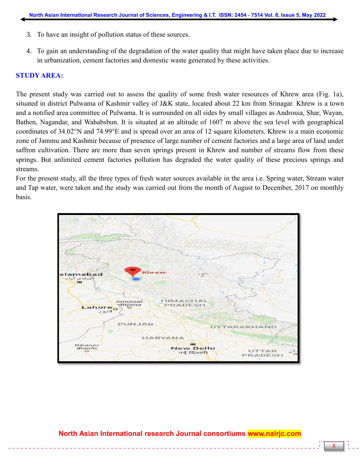- 3. To have an insight of pollution status of these sources.
- 4. To gain an understanding of the degradation of the water quality that might have taken place due to increase in urbanization, cement factories and domestic waste generated by these activities.

#### **STUDY AREA:**

The present study was carried out to assess the quality of some fresh water resources of Khrew area (Fig. 1a), situated in district Pulwama of Kashmir valley of J&K state, located about 22 km from Srinagar. Khrew is a town and a notified area committee of Pulwama. It is surrounded on all sides by small villages as Androssa, Shar, Wayan, Bathen, Nagandar, and Wahabsbun. It is situated at an altitude of 1607 m above the sea level with geographical coordinates of 34.02°N and 74.99°E and is spread over an area of 12 square kilometers. Khrew is a main economic zone of Jammu and Kashmir because of presence of large number of cement factories and a large area of land under saffron cultivation. There are more than seven springs present in Khrew and number of streams flow from these springs. But unlimited cement factories pollution has degraded the water quality of these precious springs and streams.

For the present study, all the three types of fresh water sources available in the area i.e. Spring water, Stream water and Tap water, were taken and the study was carried out from the month of August to December, 2017 on monthly basis.

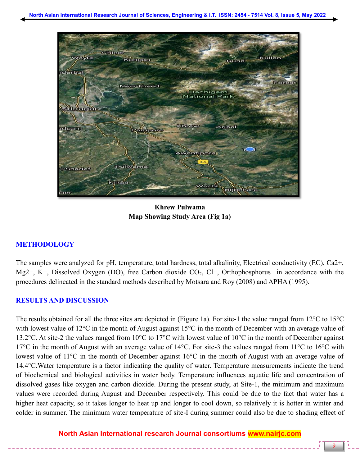

**Khrew Pulwama Map Showing Study Area (Fig 1a)**

# **METHODOLOGY**

The samples were analyzed for pH, temperature, total hardness, total alkalinity, Electrical conductivity (EC), Ca2+, Mg2+, K+, Dissolved Oxygen (DO), free Carbon dioxide CO<sub>2</sub>, Cl−, Orthophosphorus in accordance with the procedures delineated in the standard methods described by Motsara and Roy (2008) and APHA (1995).

#### **RESULTS AND DISCUSSION**

The results obtained for all the three sites are depicted in (Figure 1a). For site-1 the value ranged from 12°C to 15°C with lowest value of 12<sup>o</sup>C in the month of August against 15<sup>o</sup>C in the month of December with an average value of 13.2°C. At site-2 the values ranged from 10°C to 17°C with lowest value of 10°C in the month of December against 17°C in the month of August with an average value of 14°C. For site-3 the values ranged from 11°C to 16°C with lowest value of 11°C in the month of December against 16°C in the month of August with an average value of 14.4°C.Water temperature is a factor indicating the quality of water. Temperature measurements indicate the trend of biochemical and biological activities in water body. Temperature influences aquatic life and concentration of dissolved gases like oxygen and carbon dioxide. During the present study, at Site-1, the minimum and maximum values were recorded during August and December respectively. This could be due to the fact that water has a higher heat capacity, so it takes longer to heat up and longer to cool down, so relatively it is hotter in winter and colder in summer. The minimum water temperature of site-I during summer could also be due to shading effect of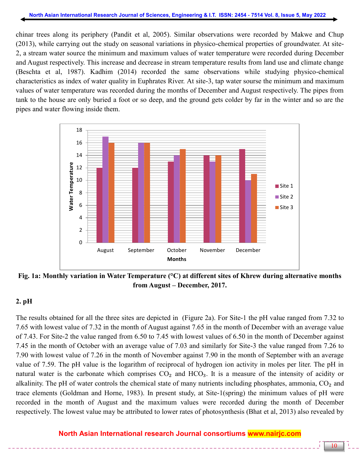chinar trees along its periphery (Pandit et al, 2005). Similar observations were recorded by Makwe and Chup (2013), while carrying out the study on seasonal variations in physico-chemical properties of groundwater. At site-2, a stream water source the minimum and maximum values of water temperature were recorded during December and August respectively. This increase and decrease in stream temperature results from land use and climate change (Beschta et al, 1987). Kadhim (2014) recorded the same observations while studying physico-chemical characteristics as index of water quality in Euphrates River. At site-3, tap water sourse the minimum and maximum values of water temperature was recorded during the months of December and August respectively. The pipes from tank to the house are only buried a foot or so deep, and the ground gets colder by far in the winter and so are the pipes and water flowing inside them.



**Fig. 1a: Monthly variation in Water Temperature (°C) at different sites of Khrew during alternative months from August – December, 2017.**

# **2. pH**

The results obtained for all the three sites are depicted in (Figure 2a). For Site-1 the pH value ranged from 7.32 to 7.65 with lowest value of 7.32 in the month of August against 7.65 in the month of December with an average value of 7.43. For Site-2 the value ranged from 6.50 to 7.45 with lowest values of 6.50 in the month of December against 7.45 in the month of October with an average value of 7.03 and similarly for Site-3 the value ranged from 7.26 to 7.90 with lowest value of 7.26 in the month of November against 7.90 in the month of September with an average value of 7.59. The pH value is the logarithm of reciprocal of hydrogen ion activity in moles per liter. The pH in natural water is the carbonate which comprises  $CO<sub>2</sub>$  and  $HCO<sub>3</sub>$ . It is a measure of the intensity of acidity or alkalinity. The pH of water controls the chemical state of many nutrients including phosphates, ammonia,  $CO<sub>2</sub>$  and trace elements (Goldman and Horne, 1983). In present study, at Site-1(spring) the minimum values of pH were recorded in the month of August and the maximum values were recorded during the month of December respectively. The lowest value may be attributed to lower rates of photosynthesis (Bhat et al, 2013) also revealed by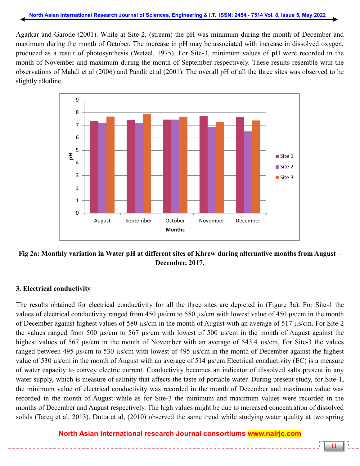Agarkar and Garode (2001). While at Site-2, (stream) the pH was minimum during the month of December and maximum during the month of October. The increase in pH may be associated with increase in dissolved oxygen, produced as a result of photosynthesis (Wetzel, 1975). For Site-3, minimum values of pH were recorded in the month of November and maximum during the month of September respectively. These results resemble with the observations of Mahdi et al (2006) and Pandit et al (2001). The overall pH of all the three sites was observed to be slightly alkaline.



**Fig 2a: Monthly variation in Water pH at different sites of Khrew during alternative months from August – December, 2017.**

#### **3. Electrical conductivity**

The results obtained for electrical conductivity for all the three sites are depicted in (Figure 3a). For Site-1 the values of electrical conductivity ranged from 450 µs/cm to 580 µs/cm with lowest value of 450 µs/cm in the month of December against highest values of 580 µs/cm in the month of August with an average of 517 µs/cm. For Site-2 the values ranged from 500 µs/cm to 567 µs/cm with lowest of 500 µs/cm in the month of August against the highest values of 567 µs/cm in the month of November with an average of 543.4 µs/cm. For Site-3 the values ranged between 495 µs/cm to 530 µs/cm with lowest of 495 µs/cm in the month of December against the highest value of 530 µs/cm in the month of August with an average of 514 µs/cm.Electrical conductivity (EC) is a measure of water capacity to convey electric current. Conductivity becomes an indicator of dissolved salts present in any water supply, which is measure of salinity that affects the taste of portable water. During present study, for Site-1, the minimum value of electrical conductivity was recorded in the month of December and maximum value was recorded in the month of August while as for Site-3 the minimum and maximum values were recorded in the months of December and August respectively. The high values might be due to increased concentration of dissolved solids (Tareq et al, 2013). Dutta et al, (2010) observed the same trend while studying water quality at two spring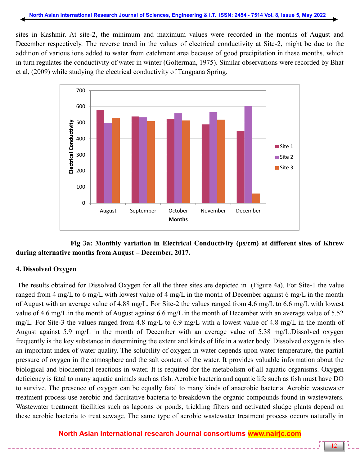sites in Kashmir. At site-2, the minimum and maximum values were recorded in the months of August and December respectively. The reverse trend in the values of electrical conductivity at Site-2, might be due to the addition of various ions added to water from catchment area because of good precipitation in these months, which in turn regulates the conductivity of water in winter (Golterman, 1975). Similar observations were recorded by Bhat et al, (2009) while studying the electrical conductivity of Tangpana Spring.



 **Fig 3a: Monthly variation in Electrical Conductivity (μs/cm) at different sites of Khrew during alternative months from August – December, 2017.**

# **4. Dissolved Oxygen**

The results obtained for Dissolved Oxygen for all the three sites are depicted in (Figure 4a). For Site-1 the value ranged from 4 mg/L to 6 mg/L with lowest value of 4 mg/L in the month of December against 6 mg/L in the month of August with an average value of 4.88 mg/L. For Site-2 the values ranged from 4.6 mg/L to 6.6 mg/L with lowest value of 4.6 mg/L in the month of August against 6.6 mg/L in the month of December with an average value of 5.52 mg/L. For Site-3 the values ranged from 4.8 mg/L to 6.9 mg/L with a lowest value of 4.8 mg/L in the month of August against 5.9 mg/L in the month of December with an average value of 5.38 mg/L.Dissolved oxygen frequently is the key substance in determining the extent and kinds of life in a water body. Dissolved oxygen is also an important index of water quality. The solubility of oxygen in water depends upon water temperature, the partial pressure of oxygen in the atmosphere and the salt content of the water. It provides valuable information about the biological and biochemical reactions in water. It is required for the metabolism of all aquatic organisms. Oxygen deficiency is fatal to many aquatic animals such as fish. Aerobic bacteria and aquatic life such as fish must have DO to survive. The presence of oxygen can be equally fatal to many kinds of anaerobic bacteria. Aerobic wastewater treatment process use aerobic and facultative bacteria to breakdown the organic compounds found in wastewaters. Wastewater treatment facilities such as lagoons or ponds, trickling filters and activated sludge plants depend on these aerobic bacteria to treat sewage. The same type of aerobic wastewater treatment process occurs naturally in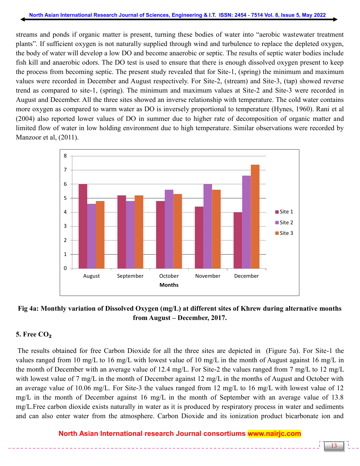streams and ponds if organic matter is present, turning these bodies of water into "aerobic wastewater treatment plants". If sufficient oxygen is not naturally supplied through wind and turbulence to replace the depleted oxygen, the body of water will develop a low DO and become anaerobic or septic. The results of septic water bodies include fish kill and anaerobic odors. The DO test is used to ensure that there is enough dissolved oxygen present to keep the process from becoming septic. The present study revealed that for Site-1, (spring) the minimum and maximum values were recorded in December and August respectively. For Site-2, (stream) and Site-3, (tap) showed reverse trend as compared to site-1, (spring). The minimum and maximum values at Site-2 and Site-3 were recorded in August and December. All the three sites showed an inverse relationship with temperature. The cold water contains more oxygen as compared to warm water as DO is inversely proportional to temperature (Hynes, 1960). Rani et al (2004) also reported lower values of DO in summer due to higher rate of decomposition of organic matter and limited flow of water in low holding environment due to high temperature. Similar observations were recorded by Manzoor et al, (2011).



**Fig 4a: Monthly variation of Dissolved Oxygen (mg/L) at different sites of Khrew during alternative months from August – December, 2017.**

# **5. Free CO**₂

The results obtained for free Carbon Dioxide for all the three sites are depicted in (Figure 5a). For Site-1 the values ranged from 10 mg/L to 16 mg/L with lowest value of 10 mg/L in the month of August against 16 mg/L in the month of December with an average value of 12.4 mg/L. For Site-2 the values ranged from 7 mg/L to 12 mg/L with lowest value of 7 mg/L in the month of December against 12 mg/L in the months of August and October with an average value of 10.06 mg/L. For Site-3 the values ranged from 12 mg/L to 16 mg/L with lowest value of 12 mg/L in the month of December against 16 mg/L in the month of September with an average value of 13.8 mg/L.Free carbon dioxide exists naturally in water as it is produced by respiratory process in water and sediments and can also enter water from the atmosphere. Carbon Dioxide and its ionization product bicarbonate ion and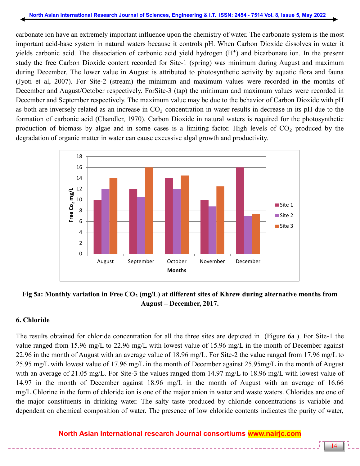carbonate ion have an extremely important influence upon the chemistry of water. The carbonate system is the most important acid-base system in natural waters because it controls pH. When Carbon Dioxide dissolves in water it yields carbonic acid. The dissociation of carbonic acid yield hydrogen  $(H<sup>+</sup>)$  and bicarbonate ion. In the present study the free Carbon Dioxide content recorded for Site-1 (spring) was minimum during August and maximum during December. The lower value in August is attributed to photosynthetic activity by aquatic flora and fauna (Jyoti et al, 2007). For Site-2 (stream) the minimum and maximum values were recorded in the months of December and August/October respectively. ForSite-3 (tap) the minimum and maximum values were recorded in December and September respectively. The maximum value may be due to the behavior of Carbon Dioxide with pH as both are inversely related as an increase in  $CO<sub>2</sub>$  concentration in water results in decrease in its pH due to the formation of carbonic acid (Chandler, 1970). Carbon Dioxide in natural waters is required for the photosynthetic production of biomass by algae and in some cases is a limiting factor. High levels of  $CO<sub>2</sub>$  produced by the degradation of organic matter in water can cause excessive algal growth and productivity.



### **Fig 5a: Monthly variation in Free CO<sup>2</sup> (mg/L) at different sites of Khrew during alternative months from August – December, 2017.**

#### **6. Chloride**

The results obtained for chloride concentration for all the three sites are depicted in (Figure 6a ). For Site-1 the value ranged from 15.96 mg/L to 22.96 mg/L with lowest value of 15.96 mg/L in the month of December against 22.96 in the month of August with an average value of 18.96 mg/L. For Site-2 the value ranged from 17.96 mg/L to 25.95 mg/L with lowest value of 17.96 mg/L in the month of December against 25.95mg/L in the month of August with an average of 21.05 mg/L. For Site-3 the values ranged from 14.97 mg/L to 18.96 mg/L with lowest value of 14.97 in the month of December against 18.96 mg/L in the month of August with an average of 16.66 mg/L.Chlorine in the form of chloride ion is one of the major anion in water and waste waters. Chlorides are one of the major constituents in drinking water. The salty taste produced by chloride concentrations is variable and dependent on chemical composition of water. The presence of low chloride contents indicates the purity of water,

# **North Asian International research Journal consortiums www.nairjc.com**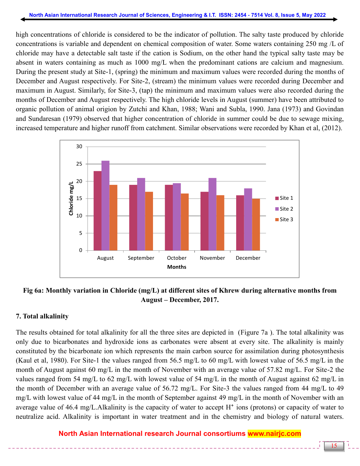high concentrations of chloride is considered to be the indicator of pollution. The salty taste produced by chloride concentrations is variable and dependent on chemical composition of water. Some waters containing 250 mg /L of chloride may have a detectable salt taste if the cation is Sodium, on the other hand the typical salty taste may be absent in waters containing as much as 1000 mg/L when the predominant cations are calcium and magnesium. During the present study at Site-1, (spring) the minimum and maximum values were recorded during the months of December and August respectively. For Site-2, (stream) the minimum values were recorded during December and maximum in August. Similarly, for Site-3, (tap) the minimum and maximum values were also recorded during the months of December and August respectively. The high chloride levels in August (summer) have been attributed to organic pollution of animal origion by Zutchi and Khan, 1988; Wani and Subla, 1990. Jana (1973) and Govindan and Sundaresan (1979) observed that higher concentration of chloride in summer could be due to sewage mixing, increased temperature and higher runoff from catchment. Similar observations were recorded by Khan et al, (2012).



# **Fig 6a: Monthly variation in Chloride (mg/L) at different sites of Khrew during alternative months from August – December, 2017.**

# **7. Total alkalinity**

The results obtained for total alkalinity for all the three sites are depicted in (Figure 7a ). The total alkalinity was only due to bicarbonates and hydroxide ions as carbonates were absent at every site. The alkalinity is mainly constituted by the bicarbonate ion which represents the main carbon source for assimilation during photosynthesis (Kaul et al, 1980). For Site-1 the values ranged from 56.5 mg/L to 60 mg/L with lowest value of 56.5 mg/L in the month of August against 60 mg/L in the month of November with an average value of 57.82 mg/L. For Site-2 the values ranged from 54 mg/L to 62 mg/L with lowest value of 54 mg/L in the month of August against 62 mg/L in the month of December with an average value of 56.72 mg/L. For Site-3 the values ranged from 44 mg/L to 49 mg/L with lowest value of 44 mg/L in the month of September against 49 mg/L in the month of November with an average value of 46.4 mg/L.Alkalinity is the capacity of water to accept  $H^+$  ions (protons) or capacity of water to neutralize acid. Alkalinity is important in water treatment and in the chemistry and biology of natural waters.

# **North Asian International research Journal consortiums www.nairjc.com**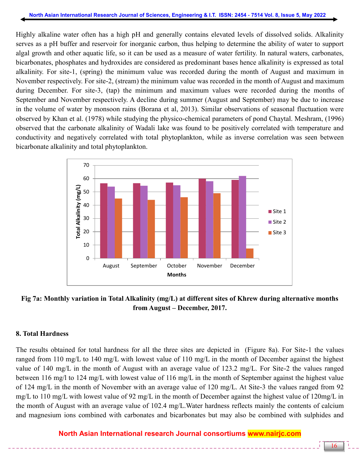Highly alkaline water often has a high pH and generally contains elevated levels of dissolved solids. Alkalinity serves as a pH buffer and reservoir for inorganic carbon, thus helping to determine the ability of water to support algal growth and other aquatic life, so it can be used as a measure of water fertility. In natural waters, carbonates, bicarbonates, phosphates and hydroxides are considered as predominant bases hence alkalinity is expressed as total alkalinity. For site-1, (spring) the minimum value was recorded during the month of August and maximum in November respectively. For site-2, (stream) the minimum value was recorded in the month of August and maximum during December. For site-3, (tap) the minimum and maximum values were recorded during the months of September and November respectively. A decline during summer (August and September) may be due to increase in the volume of water by monsoon rains (Borana et al, 2013). Similar observations of seasonal fluctuation were observed by Khan et al. (1978) while studying the physico-chemical parameters of pond Chaytal. Meshram, (1996) observed that the carbonate alkalinity of Wadali lake was found to be positively correlated with temperature and conductivity and negatively correlated with total phytoplankton, while as inverse correlation was seen between bicarbonate alkalinity and total phytoplankton.



# **Fig 7a: Monthly variation in Total Alkalinity (mg/L) at different sites of Khrew during alternative months from August – December, 2017.**

#### **8. Total Hardness**

The results obtained for total hardness for all the three sites are depicted in (Figure 8a). For Site-1 the values ranged from 110 mg/L to 140 mg/L with lowest value of 110 mg/L in the month of December against the highest value of 140 mg/L in the month of August with an average value of 123.2 mg/L. For Site-2 the values ranged between 116 mg/l to 124 mg/L with lowest value of 116 mg/L in the month of September against the highest value of 124 mg/L in the month of November with an average value of 120 mg/L. At Site-3 the values ranged from 92 mg/L to 110 mg/L with lowest value of 92 mg/L in the month of December against the highest value of 120mg/L in the month of August with an average value of 102.4 mg/L.Water hardness reflects mainly the contents of calcium and magnesium ions combined with carbonates and bicarbonates but may also be combined with sulphides and

# **North Asian International research Journal consortiums www.nairjc.com**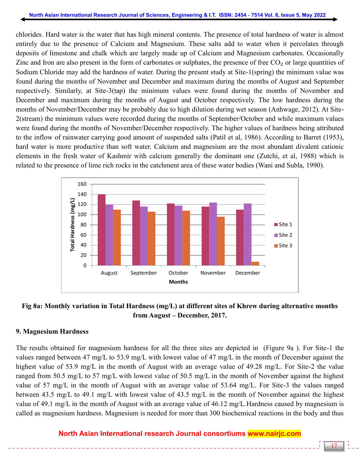chlorides. Hard water is the water that has high mineral contents. The presence of total hardness of water is almost entirely due to the presence of Calcium and Magnesium. These salts add to water when it percolates through deposits of limestone and chalk which are largely made up of Calcium and Magnesium carbonates. Occasionally Zinc and Iron are also present in the form of carbonates or sulphates, the presence of free  $CO<sub>2</sub>$  or large quantities of Sodium Chloride may add the hardness of water. During the present study at Site-1(spring) the minimum value was found during the months of November and December and maximum during the months of August and September respectively. Similarly, at Site-3(tap) the minimum values were found during the months of November and December and maximum during the months of August and October respectively. The low hardness during the months of November/December may be probably due to high dilution during wet season (Anhwage, 2012). At Site-2(stream) the minimum values were recorded during the months of September/October and while maximum values were found during the months of November/December respectively. The higher values of hardness being attributed to the inflow of rainwater carrying good amount of suspended salts (Patil et al, 1986). According to Barret (1953), hard water is more productive than soft water. Calcium and magnesium are the most abundant divalent cationic elements in the fresh water of Kashmir with calcium generally the dominant one (Zutchi, et al, 1988) which is related to the presence of lime rich rocks in the catchment area of these water bodies (Wani and Subla, 1990).



**Fig 8a: Monthly variation in Total Hardness (mg/L) at different sites of Khrew during alternative months from August – December, 2017.**

#### **9. Magnesium Hardness**

The results obtained for magnesium hardness for all the three sites are depicted in (Figure 9a ). For Site-1 the values ranged between 47 mg/L to 53.9 mg/L with lowest value of 47 mg/L in the month of December against the highest value of 53.9 mg/L in the month of August with an average value of 49.28 mg/L. For Site-2 the value ranged from 50.5 mg/L to 57 mg/L with lowest value of 50.5 mg/L in the month of November against the highest value of 57 mg/L in the month of August with an average value of 53.64 mg/L. For Site-3 the values ranged between 43.5 mg/L to 49.1 mg/L with lowest value of 43.5 mg/L in the month of November against the highest value of 49.1 mg/L in the month of August with an average value of 46.12 mg/L.Hardness caused by magnesium is called as magnesium hardness. Magnesium is needed for more than 300 biochemical reactions in the body and thus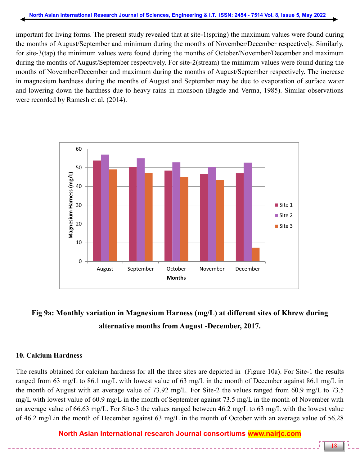important for living forms. The present study revealed that at site-1(spring) the maximum values were found during the months of August/September and minimum during the months of November/December respectively. Similarly, for site-3(tap) the minimum values were found during the months of October/November/December and maximum during the months of August/September respectively. For site-2(stream) the minimum values were found during the months of November/December and maximum during the months of August/September respectively. The increase in magnesium hardness during the months of August and September may be due to evaporation of surface water and lowering down the hardness due to heavy rains in monsoon (Bagde and Verma, 1985). Similar observations were recorded by Ramesh et al, (2014).



# **Fig 9a: Monthly variation in Magnesium Harness (mg/L) at different sites of Khrew during alternative months from August -December, 2017.**

#### **10. Calcium Hardness**

The results obtained for calcium hardness for all the three sites are depicted in (Figure 10a). For Site-1 the results ranged from 63 mg/L to 86.1 mg/L with lowest value of 63 mg/L in the month of December against 86.1 mg/L in the month of August with an average value of 73.92 mg/L. For Site-2 the values ranged from 60.9 mg/L to 73.5 mg/L with lowest value of 60.9 mg/L in the month of September against 73.5 mg/L in the month of November with an average value of 66.63 mg/L. For Site-3 the values ranged between 46.2 mg/L to 63 mg/L with the lowest value of 46.2 mg/Lin the month of December against 63 mg/L in the month of October with an average value of 56.28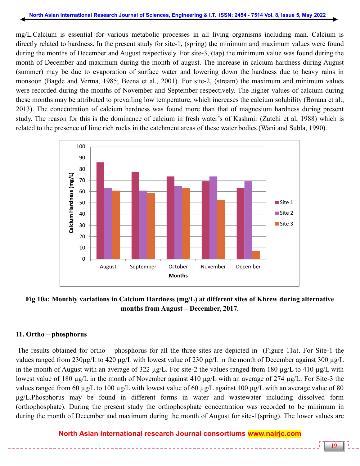mg/L.Calcium is essential for various metabolic processes in all living organisms including man. Calcium is directly related to hardness. In the present study for site-1, (spring) the minimum and maximum values were found during the months of December and August respectively. For site-3, (tap) the minimum value was found during the month of December and maximum during the month of august. The increase in calcium hardness during August (summer) may be due to evaporation of surface water and lowering down the hardness due to heavy rains in monsoon (Bagde and Verma, 1985; Beena et al., 2001). For site-2, (stream) the maximum and minimum values were recorded during the months of November and September respectively. The higher values of calcium during these months may be attributed to prevailing low temperature, which increases the calcium solubility (Borana et al., 2013). The concentration of calcium hardness was found more than that of magnesium hardness during present study. The reason for this is the dominance of calcium in fresh water's of Kashmir (Zutchi et al, 1988) which is related to the presence of lime rich rocks in the catchment areas of these water bodies (Wani and Subla, 1990).



### **Fig 10a: Monthly variations in Calcium Hardness (mg/L) at different sites of Khrew during alternative months from August – December, 2017.**

#### **11. Ortho – phosphorus**

The results obtained for ortho – phosphorus for all the three sites are depicted in (Figure 11a). For Site-1 the values ranged from 230µg/L to 420 µg/L with lowest value of 230 µg/L in the month of December against 300 µg/L in the month of August with an average of 322 µg/L. For site-2 the values ranged from 180 µg/L to 410 µg/L with lowest value of 180 µg/L in the month of November against 410 µg/L with an average of 274 µg/L. For Site-3 the values ranged from 60 µg/L to 100 µg/L with lowest value of 60 µg/L against 100 µg/L with an average value of 80 µg/L.Phosphorus may be found in different forms in water and wastewater including dissolved form (orthophosphate). During the present study the orthophosphate concentration was recorded to be minimum in during the month of December and maximum during the month of August for site-1(spring). The lower values are

# **North Asian International research Journal consortiums www.nairjc.com**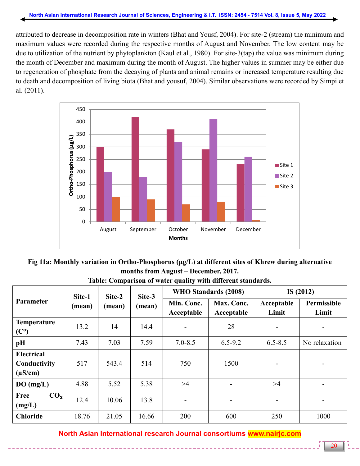attributed to decrease in decomposition rate in winters (Bhat and Yousf, 2004). For site-2 (stream) the minimum and maximum values were recorded during the respective months of August and November. The low content may be due to utilization of the nutrient by phytoplankton (Kaul et al., 1980). For site-3(tap) the value was minimum during the month of December and maximum during the month of August. The higher values in summer may be either due to regeneration of phosphate from the decaying of plants and animal remains or increased temperature resulting due to death and decomposition of living biota (Bhat and yousuf, 2004). Similar observations were recorded by Simpi et al. (2011).



**Fig 11a: Monthly variation in Ortho-Phosphorus (μg/L) at different sites of Khrew during alternative months from August – December, 2017.**

| Parameter                                         | Site-1<br>(mean) | Site-2<br>(mean) | Site-3<br>(mean) | WHO Standards (2008)     |                          | IS $(2012)$         |                          |
|---------------------------------------------------|------------------|------------------|------------------|--------------------------|--------------------------|---------------------|--------------------------|
|                                                   |                  |                  |                  | Min. Conc.<br>Acceptable | Max. Conc.<br>Acceptable | Acceptable<br>Limit | Permissible<br>Limit     |
| Temperature<br>(C <sup>o</sup> )                  | 13.2             | 14               | 14.4             | $\overline{\phantom{a}}$ | 28                       | $\qquad \qquad -$   | $\qquad \qquad -$        |
| pH                                                | 7.43             | 7.03             | 7.59             | $7.0 - 8.5$              | $6.5 - 9.2$              | $6.5 - 8.5$         | No relaxation            |
| <b>Electrical</b><br>Conductivity<br>$(\mu S/cm)$ | 517              | 543.4            | 514              | 750                      | 1500                     |                     |                          |
| DO(mg/L)                                          | 4.88             | 5.52             | 5.38             | >4                       | $\overline{\phantom{a}}$ | >4                  | $\overline{\phantom{0}}$ |
| Free<br>CO <sub>2</sub><br>(mg/L)                 | 12.4             | 10.06            | 13.8             | $\overline{\phantom{a}}$ | $\overline{\phantom{a}}$ |                     | $\overline{\phantom{0}}$ |
| <b>Chloride</b>                                   | 18.76            | 21.05            | 16.66            | 200                      | 600                      | 250                 | 1000                     |

**Table: Comparison of water quality with different standards.**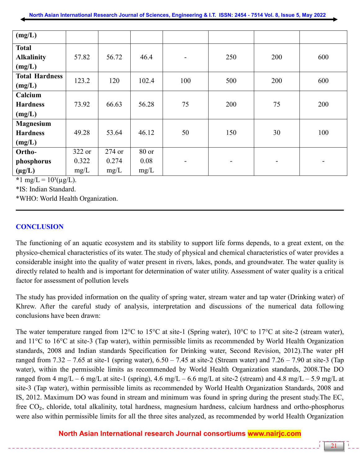| (mg/L)                |        |        |       |                          |                          |     |                          |
|-----------------------|--------|--------|-------|--------------------------|--------------------------|-----|--------------------------|
| <b>Total</b>          |        |        |       |                          |                          |     |                          |
| <b>Alkalinity</b>     | 57.82  | 56.72  | 46.4  | $\overline{\phantom{a}}$ | 250                      | 200 | 600                      |
| (mg/L)                |        |        |       |                          |                          |     |                          |
| <b>Total Hardness</b> | 123.2  | 120    | 102.4 | 100                      | 500                      | 200 | 600                      |
| (mg/L)                |        |        |       |                          |                          |     |                          |
| Calcium               |        |        |       |                          |                          |     |                          |
| <b>Hardness</b>       | 73.92  | 66.63  | 56.28 | 75                       | 200                      | 75  | 200                      |
| (mg/L)                |        |        |       |                          |                          |     |                          |
| <b>Magnesium</b>      |        |        |       |                          |                          |     |                          |
| <b>Hardness</b>       | 49.28  | 53.64  | 46.12 | 50                       | 150                      | 30  | 100                      |
| (mg/L)                |        |        |       |                          |                          |     |                          |
| Ortho-                | 322 or | 274 or | 80 or |                          |                          |     |                          |
| phosphorus            | 0.322  | 0.274  | 0.08  | $\qquad \qquad -$        | $\overline{\phantom{a}}$ | Ξ.  | $\overline{\phantom{0}}$ |
| $(\mu g/L)$           | mg/L   | mg/L   | mg/L  |                          |                          |     |                          |

 $\star$ 1 mg/L =  $10^{3}$ (µg/L).

\*IS: Indian Standard.

\*WHO: World Health Organization.

# **CONCLUSION**

The functioning of an aquatic ecosystem and its stability to support life forms depends, to a great extent, on the physico-chemical characteristics of its water. The study of physical and chemical characteristics of water provides a considerable insight into the quality of water present in rivers, lakes, ponds, and groundwater. The water quality is directly related to health and is important for determination of water utility. Assessment of water quality is a critical factor for assessment of pollution levels

The study has provided information on the quality of spring water, stream water and tap water (Drinking water) of Khrew. After the careful study of analysis, interpretation and discussions of the numerical data following conclusions have been drawn:

The water temperature ranged from 12°C to 15°C at site-1 (Spring water), 10°C to 17°C at site-2 (stream water), and 11°C to 16°C at site-3 (Tap water), within permissible limits as recommended by World Health Organization standards, 2008 and Indian standards Specification for Drinking water, Second Revision, 2012).The water pH ranged from  $7.32 - 7.65$  at site-1 (spring water),  $6.50 - 7.45$  at site-2 (Stream water) and  $7.26 - 7.90$  at site-3 (Tap water), within the permissible limits as recommended by World Health Organization standards, 2008.The DO ranged from 4 mg/L – 6 mg/L at site-1 (spring), 4.6 mg/L – 6.6 mg/L at site-2 (stream) and 4.8 mg/L – 5.9 mg/L at site-3 (Tap water), within permissible limits as recommended by World Health Organization Standards, 2008 and IS, 2012. Maximum DO was found in stream and minimum was found in spring during the present study.The EC, free CO<sub>2</sub>, chloride, total alkalinity, total hardness, magnesium hardness, calcium hardness and ortho-phosphorus were also within permissible limits for all the three sites analyzed, as recommended by world Health Organization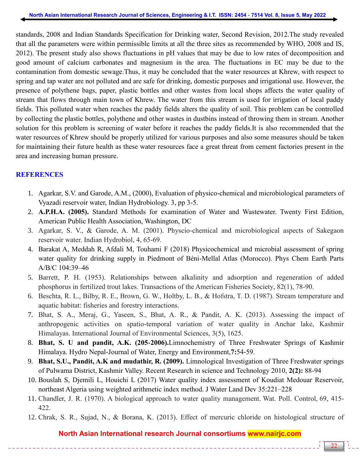standards, 2008 and Indian Standards Specification for Drinking water, Second Revision, 2012.The study revealed that all the parameters were within permissible limits at all the three sites as recommended by WHO, 2008 and IS, 2012). The present study also shows fluctuations in pH values that may be due to low rates of decomposition and good amount of calcium carbonates and magnesium in the area. The fluctuations in EC may be due to the contamination from domestic sewage.Thus, it may be concluded that the water resources at Khrew, with respect to spring and tap water are not polluted and are safe for drinking, domestic purposes and irrigational use. However, the presence of polythene bags, paper, plastic bottles and other wastes from local shops affects the water quality of stream that flows through main town of Khrew. The water from this stream is used for irrigation of local paddy fields. This polluted water when reaches the paddy fields alters the quality of soil. This problem can be controlled by collecting the plastic bottles, polythene and other wastes in dustbins instead of throwing them in stream. Another solution for this problem is screening of water before it reaches the paddy fields.It is also recommended that the water resources of Khrew should be properly utilized for various purposes and also some measures should be taken for maintaining their future health as these water resources face a great threat from cement factories present in the area and increasing human pressure.

### **REFERENCES**

- 1. Agarkar, S.V. and Garode, A.M., (2000), Evaluation of physico-chemical and microbiological parameters of Vyazadi reservoir water, Indian Hydrobiology. 3, pp 3-5.
- 2. **A.P.H.A. (2005).** Standard Methods for examination of Water and Wastewater. Twenty First Edition, American Public Health Association, Washington, DC
- 3. Agarkar, S. V., & Garode, A. M. (2001). Physcio-chemical and microbiological aspects of Sakegaon reservoir water. Indian Hydrobiol, 4, 65-69.
- 4. Barakat A, Meddah R, Afdali M, Touhami F (2018) Physicochemical and microbial assessment of spring water quality for drinking supply in Piedmont of Béni-Mellal Atlas (Morocco). Phys Chem Earth Parts A/B/C 104:39–46
- 5. Barrett, P. H. (1953). Relationships between alkalinity and adsorption and regeneration of added phosphorus in fertilized trout lakes. Transactions of the American Fisheries Society, 82(1), 78-90.
- 6. Beschta, R. L., Bilby, R. E., Brown, G. W., Holtby, L. B., & Hofstra, T. D. (1987). Stream temperature and aquatic habitat: fisheries and forestry interactions.
- 7. Bhat, S. A., Meraj, G., Yaseen, S., Bhat, A. R., & Pandit, A. K. (2013). Assessing the impact of anthropogenic activities on spatio-temporal variation of water quality in Anchar lake, Kashmir Himalayas. International Journal of Environmental Sciences, 3(5), 1625.
- 8. **Bhat, S. U and pandit, A.K. (205-2006).**Limnochemistry of Three Freshwater Springs of Kashmir Himalaya. Hydro Nepal-Journal of Water, Energy and Environment,**7:**54-59.
- 9. **Bhat, S.U., Pandit, A.K and mudathir, R. (2009).** Limnological Investigation of Three Freshwater springs of Pulwama District, Kashmir Valley. Recent Research in science and Technology 2010, **2(2):** 88-94
- 10. Bouslah S, Djemili L, Houichi L (2017) Water quality index assessment of Koudiat Medouar Reservoir, northeast Algeria using weighted arithmetic index method. J Water Land Dev 35:221–228
- 11. Chandler, J. R. (1970). A biological approach to water quality management. Wat. Poll. Control, 69, 415- 422.
- 12. Chrak, S. R., Sujad, N., & Borana, K. (2013). Effect of mercuric chloride on histological structure of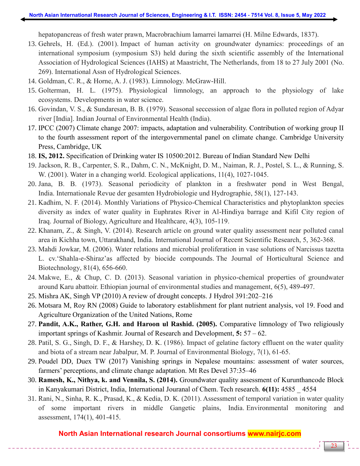hepatopancreas of fresh water prawn, Macrobrachium lamarrei lamarrei (H. Milne Edwards, 1837).

- 13. Gehrels, H. (Ed.). (2001). Impact of human activity on groundwater dynamics: proceedings of an international symposium (symposium S3) held during the sixth scientific assembly of the International Association of Hydrological Sciences (IAHS) at Maastricht, The Netherlands, from 18 to 27 July 2001 (No. 269). International Assn of Hydrological Sciences.
- 14. Goldman, C. R., & Horne, A. J. (1983). Limnology. McGraw-Hill.
- 15. Golterman, H. L. (1975). Physiological limnology, an approach to the physiology of lake ecosystems. Developments in water science.
- 16. Govindan, V. S., & Sundaresan, B. B. (1979). Seasonal seccession of algae flora in polluted region of Adyar river [India]. Indian Journal of Environmental Health (India).
- 17. IPCC (2007) Climate change 2007: impacts, adaptation and vulnerability. Contribution of working group II to the fourth assessment report of the intergovernmental panel on climate change. Cambridge University Press, Cambridge, UK
- 18. **IS, 2012.** Specification of Drinking water IS 10500:2012. Bureau of Indian Standard New Delhi
- 19. Jackson, R. B., Carpenter, S. R., Dahm, C. N., McKnight, D. M., Naiman, R. J., Postel, S. L., & Running, S. W. (2001). Water in a changing world. Ecological applications, 11(4), 1027-1045.
- 20. Jana, B. B. (1973). Seasonal periodicity of plankton in a freshwater pond in West Bengal, India. Internationale Revue der gesamten Hydrobiologie und Hydrographie, 58(1), 127-143.
- 21. Kadhim, N. F. (2014). Monthly Variations of Physico-Chemical Characteristics and phytoplankton species diversity as index of water quality in Euphrates River in Al-Hindiya barrage and Kifil City region of Iraq. Journal of Biology, Agriculture and Healthcare, 4(3), 105-119.
- 22. Khanam, Z., & Singh, V. (2014). Research article on ground water quality assessment near polluted canal area in Kichha town, Uttarakhand, India. International Journal of Recent Scientific Research, 5, 362-368.
- 23. Mahdi Jowkar, M. (2006). Water relations and microbial proliferation in vase solutions of Narcissus tazetta L. cv."Shahla-e-Shiraz"as affected by biocide compounds. The Journal of Horticultural Science and Biotechnology, 81(4), 656-660.
- 24. Makwe, E., & Chup, C. D. (2013). Seasonal variation in physico-chemical properties of groundwater around Karu abattoir. Ethiopian journal of environmental studies and management, 6(5), 489-497.
- 25. Mishra AK, Singh VP (2010) A review of drought concepts. J Hydrol 391:202–216
- 26. Motsara M, Roy RN (2008) Guide to laboratory establishment for plant nutrient analysis, vol 19. Food and Agriculture Organization of the United Nations, Rome
- 27. **Pandit, A.K., Rather, G.H. and Haroon ul Rashid. (2005).** Comparative limnology of Two religiously important springs of Kashmir. Journal of Research and Development, **5:** 57 – 62.
- 28. Patil, S. G., Singh, D. F., & Harshey, D. K. (1986). Impact of gelatine factory effluent on the water quality and biota of a stream near Jabalpur, M. P. Journal of Environmental Biology, 7(1), 61-65.
- 29. Poudel DD, Duex TW (2017) Vanishing springs in Nepalese mountains: assessment of water sources, farmers' perceptions, and climate change adaptation. Mt Res Devel 37:35–46
- 30. **Ramesh, K., Nithya, k. and Vennila, S. (2014).** Groundwater quality assessment of Kurunthancode Block in Kanyakumari District, India, International Jouranal of Chem. Tech research. **6(11):** 4585 \_ 4554
- 31. Rani, N., Sinha, R. K., Prasad, K., & Kedia, D. K. (2011). Assessment of temporal variation in water quality of some important rivers in middle Gangetic plains, India. Environmental monitoring and assessment, 174(1), 401-415.

#### **North Asian International research Journal consortiums www.nairjc.com**